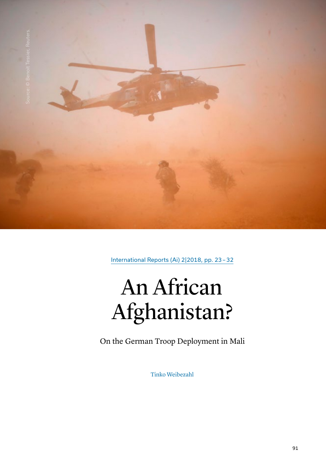

International Reports (Ai) 2|2018, pp. 23–32

# An African Afghanistan?

On the German Troop Deployment in Mali

Tinko Weibezahl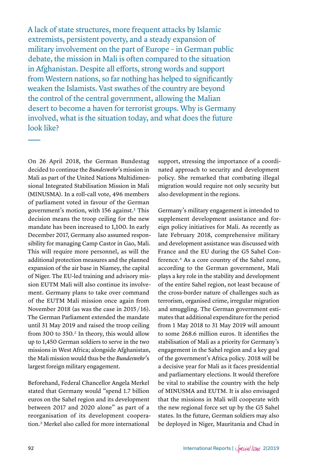A lack of state structures, more frequent attacks by Islamic extremists, persistent poverty, and a steady expansion of military involvement on the part of Europe – in German public debate, the mission in Mali is often compared to the situation in Afghanistan. Despite all efforts, strong words and support from Western nations, so far nothing has helped to significantly weaken the Islamists. Vast swathes of the country are beyond the control of the central government, allowing the Malian desert to become a haven for terrorist groups. Why is Germany involved, what is the situation today, and what does the future look like?

On 26 April 2018, the German Bundestag decided to continue the *Bundeswehr*'s mission in Mali as part of the United Nations Multidimensional Integrated Stabilisation Mission in Mali (MINUSMA). In a roll-call vote, 496 members of parliament voted in favour of the German government's motion, with 156 against.<sup>1</sup> This decision means the troop ceiling for the new mandate has been increased to 1,100. In early December 2017, Germany also assumed responsibility for managing Camp Castor in Gao, Mali. This will require more personnel, as will the additional protection measures and the planned expansion of the air base in Niamey, the capital of Niger. The EU-led training and advisory mission EUTM Mali will also continue its involvement. Germany plans to take over command of the EUTM Mali mission once again from November 2018 (as was the case in 2015 / 16). The German Parliament extended the mandate until 31 May 2019 and raised the troop ceiling from 300 to 350.<sup>[2](#page-9-1)</sup> In theory, this would allow up to 1,450 German soldiers to serve in the two missions in West Africa; alongside Afghanistan, the Mali mission would thus be the *Bundeswehr*'s largest foreign military engagement.

Beforehand, Federal Chancellor Angela Merkel stated that Germany would "spend 1.7 billion euros on the Sahel region and its development between 2017 and 2020 alone" as part of a reorganisation of its development cooperation.[3](#page-9-2) Merkel also called for more international

support, stressing the importance of a coordinated approach to security and development policy. She remarked that combating illegal migration would require not only security but also development in the regions.

Germany's military engagement is intended to supplement development assistance and foreign policy initiatives for Mali. As recently as late February 2018, comprehensive military and development assistance was discussed with France and the EU during the G5 Sahel Conference[.4](#page-9-3) As a core country of the Sahel zone, according to the German government, Mali plays a key role in the stability and development of the entire Sahel region, not least because of the cross-border nature of challenges such as terrorism, organised crime, irregular migration and smuggling. The German government estimates that additional expenditure for the period from 1 May 2018 to 31 May 2019 will amount to some 268.6 million euros. It identifies the stabilisation of Mali as a priority for Germany's engagement in the Sahel region and a key goal of the government's Africa policy. 2018 will be a decisive year for Mali as it faces presidential and parliamentary elections. It would therefore be vital to stabilise the country with the help of MINUSMA and EUTM. It is also envisaged that the missions in Mali will cooperate with the new regional force set up by the G5 Sahel states. In the future, German soldiers may also be deployed in Niger, Mauritania and Chad in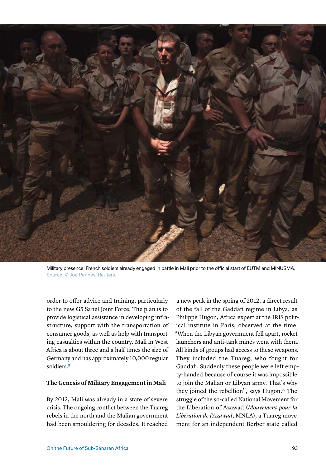

Military presence: French soldiers already engaged in battle in Mali prior to the official start of EUTM and MINUSMA. Source: © Joe Penney, Reuters.

order to offer advice and training, particularly to the new G5 Sahel Joint Force. The plan is to provide logistical assistance in developing infrastructure, support with the transportation of consumer goods, as well as help with transporting casualties within the country. Mali in West Africa is about three and a half times the size of Germany and has approximately 10,000 regular soldiers.[5](#page-9-4)

#### **The Genesis of Military Engagement in Mali**

By 2012, Mali was already in a state of severe crisis. The ongoing conflict between the Tuareg rebels in the north and the Malian government had been smouldering for decades. It reached

a new peak in the spring of 2012, a direct result of the fall of the Gaddafi regime in Libya, as Philippe Hugon, Africa expert at the IRIS political institute in Paris, observed at the time: "When the Libyan government fell apart, rocket launchers and anti-tank mines went with them. All kinds of groups had access to these weapons. They included the Tuareg, who fought for Gaddafi. Suddenly these people were left empty-handed because of course it was impossible to join the Malian or Libyan army. That's why they joined the rebellion", says Hugon.<sup>6</sup> The struggle of the so-called National Movement for the Liberation of Azawad (*Mouvement pour la Libération de l'Azawad*, MNLA), a Tuareg movement for an independent Berber state called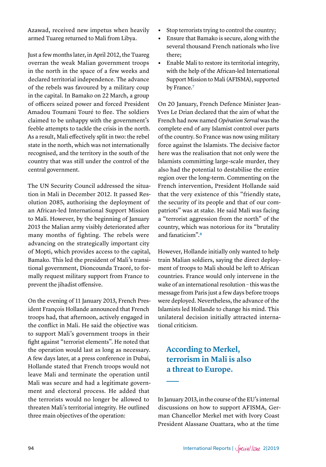Azawad, received new impetus when heavily armed Tuareg returned to Mali from Libya.

Just a few months later, in April 2012, the Tuareg overran the weak Malian government troops in the north in the space of a few weeks and declared territorial independence. The advance of the rebels was favoured by a military coup in the capital. In Bamako on 22 March, a group of officers seized power and forced President Amadou Toumani Touré to flee. The soldiers claimed to be unhappy with the government's feeble attempts to tackle the crisis in the north. As a result, Mali effectively split in two: the rebel state in the north, which was not internationally recognised, and the territory in the south of the country that was still under the control of the central government.

The UN Security Council addressed the situation in Mali in December 2012. It passed Resolution 2085, authorising the deployment of an African-led International Support Mission to Mali. However, by the beginning of January 2013 the Malian army visibly deteriorated after many months of fighting. The rebels were advancing on the strategically important city of Mopti, which provides access to the capital, Bamako. This led the president of Mali's transitional government, Dioncounda Traoré, to formally request military support from France to prevent the jihadist offensive.

On the evening of 11 January 2013, French President François Hollande announced that French troops had, that afternoon, actively engaged in the conflict in Mali. He said the objective was to support Mali's government troops in their fight against "terrorist elements". He noted that the operation would last as long as necessary. A few days later, at a press conference in Dubai, Hollande stated that French troops would not leave Mali and terminate the operation until Mali was secure and had a legitimate government and electoral process. He added that the terrorists would no longer be allowed to threaten Mali's territorial integrity. He outlined three main objectives of the operation:

- **•** Stop terrorists trying to control the country;
- **•** Ensure that Bamako is secure, along with the several thousand French nationals who live there;
- **•** Enable Mali to restore its territorial integrity, with the help of the African-led International Support Mission to Mali (AFISMA), supported by France.<sup>[7](#page-9-6)</sup>

On 20 January, French Defence Minister Jean-Yves Le Drian declared that the aim of what the French had now named *Opération Serval* was the complete end of any Islamist control over parts of the country. So France was now using military force against the Islamists. The decisive factor here was the realisation that not only were the Islamists committing large-scale murder, they also had the potential to destabilise the entire region over the long-term. Commenting on the French intervention, President Hollande said that the very existence of this "friendly state, the security of its people and that of our compatriots" was at stake. He said Mali was facing a "terrorist aggression from the north" of the country, which was notorious for its "brutality and fanaticism".[8](#page-9-7)

However, Hollande initially only wanted to help train Malian soldiers, saying the direct deployment of troops to Mali should be left to African countries. France would only intervene in the wake of an international resolution – this was the message from Paris just a few days before troops were deployed. Nevertheless, the advance of the Islamists led Hollande to change his mind. This unilateral decision initially attracted international criticism.

## **According to Merkel, terrorism in Mali is also a threat to Europe.**

In January 2013, in the course of the EU's internal discussions on how to support AFISMA, German Chancellor Merkel met with Ivory Coast President Alassane Ouattara, who at the time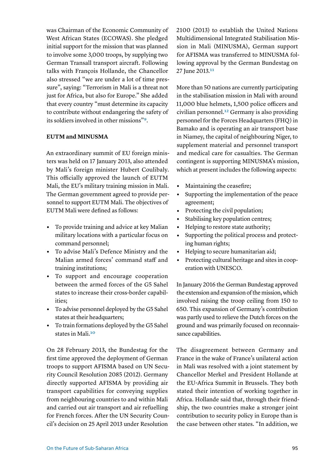was Chairman of the Economic Community of West African States (ECOWAS). She pledged initial support for the mission that was planned to involve some 3,000 troops, by supplying two German Transall transport aircraft. Following talks with François Hollande, the Chancellor also stressed "we are under a lot of time pressure", saying: "Terrorism in Mali is a threat not just for Africa, but also for Europe." She added that every country "must determine its capacity to contribute without endangering the safety of its soldiers involved in other missions["9](#page-9-8).

#### **EUTM and MINUSMA**

An extraordinary summit of EU foreign ministers was held on 17 January 2013, also attended by Mali's foreign minister Hubert Coulibaly. This officially approved the launch of EUTM Mali, the EU's military training mission in Mali. The German government agreed to provide personnel to support EUTM Mali. The objectives of EUTM Mali were defined as follows:

- **•** To provide training and advice at key Malian military locations with a particular focus on command personnel;
- **•** To advise Mali's Defence Ministry and the Malian armed forces' command staff and training institutions;
- **•** To support and encourage cooperation between the armed forces of the G5 Sahel states to increase their cross-border capabilities;
- **•** To advise personnel deployed by the G5 Sahel states at their headquarters;
- **•** To train formations deployed by the G5 Sahel states in Mali[.10](#page-9-9)

On 28 February 2013, the Bundestag for the first time approved the deployment of German troops to support AFISMA based on UN Security Council Resolution 2085 (2012). Germany directly supported AFISMA by providing air transport capabilities for conveying supplies from neighbouring countries to and within Mali and carried out air transport and air refuelling for French forces. After the UN Security Council's decision on 25 April 2013 under Resolution

2100 (2013) to establish the United Nations Multidimensional Integrated Stabilisation Mission in Mali (MINUSMA), German support for AFISMA was transferred to MINUSMA following approval by the German Bundestag on 27 June 2013.<sup>11</sup>

More than 50 nations are currently participating in the stabilisation mission in Mali with around 11,000 blue helmets, 1,500 police officers and civilian personnel[.12](#page-9-11) Germany is also providing personnel for the Forces Headquarters (FHQ) in Bamako and is operating an air transport base in Niamey, the capital of neighbouring Niger, to supplement material and personnel transport and medical care for casualties. The German contingent is supporting MINUSMA's mission, which at present includes the following aspects:

- **•** Maintaining the ceasefire;
- **•** Supporting the implementation of the peace agreement;
- **•** Protecting the civil population;
- **•** Stabilising key population centres;
- **•** Helping to restore state authority;
- **•** Supporting the political process and protecting human rights;
- **•** Helping to secure humanitarian aid;
- **•** Protecting cultural heritage and sites in cooperation with UNESCO.

In January 2016 the German Bundestag approved the extension and expansion of the mission, which involved raising the troop ceiling from 150 to 650. This expansion of Germany's contribution was partly used to relieve the Dutch forces on the ground and was primarily focused on reconnaissance capabilities.

The disagreement between Germany and France in the wake of France's unilateral action in Mali was resolved with a joint statement by Chancellor Merkel and President Hollande at the EU-Africa Summit in Brussels. They both stated their intention of working together in Africa. Hollande said that, through their friendship, the two countries make a stronger joint contribution to security policy in Europe than is the case between other states. "In addition, we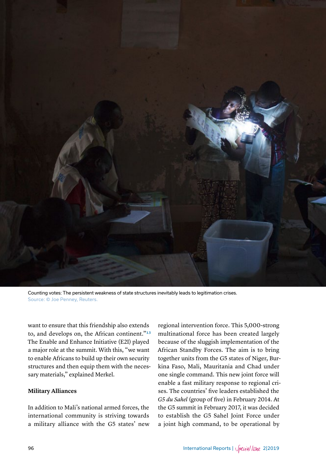

Counting votes: The persistent weakness of state structures inevitably leads to legitimation crises. Source: © Joe Penney, Reuters.

want to ensure that this friendship also extends to, and develops on, the African continent."[13](#page-9-12) The Enable and Enhance Initiative (E2I) played a major role at the summit. With this, "we want to enable Africans to build up their own security structures and then equip them with the necessary materials," explained Merkel.

#### **Military Alliances**

In addition to Mali's national armed forces, the international community is striving towards a military alliance with the G5 states' new

regional intervention force. This 5,000-strong multinational force has been created largely because of the sluggish implementation of the African Standby Forces. The aim is to bring together units from the G5 states of Niger, Burkina Faso, Mali, Mauritania and Chad under one single command. This new joint force will enable a fast military response to regional crises. The countries' five leaders established the *G5 du Sahel* (group of five) in February 2014. At the G5 summit in February 2017, it was decided to establish the G5 Sahel Joint Force under a joint high command, to be operational by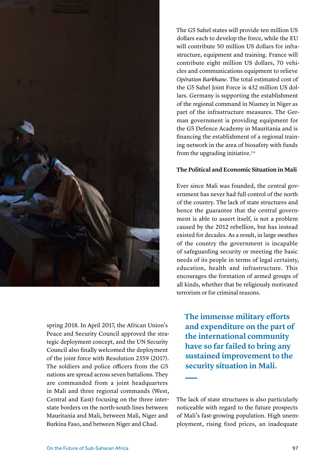

spring 2018. In April 2017, the African Union's Peace and Security Council approved the strategic deployment concept, and the UN Security Council also finally welcomed the deployment of the joint force with Resolution 2359 (2017). The soldiers and police officers from the G5 nations are spread across seven battalions. They are commanded from a joint headquarters in Mali and three regional commands (West, Central and East) focusing on the three interstate borders on the north-south lines between Mauritania and Mali, between Mali, Niger and Burkina Faso, and between Niger and Chad.

The G5 Sahel states will provide ten million US dollars each to develop the force, while the EU will contribute 50 million US dollars for infrastructure, equipment and training. France will contribute eight million US dollars, 70 vehicles and communications equipment to relieve *Opération Barkhane*. The total estimated cost of the G5 Sahel Joint Force is 432 million US dollars. Germany is supporting the establishment of the regional command in Niamey in Niger as part of the infrastructure measures. The German government is providing equipment for the G5 Defence Academy in Mauritania and is financing the establishment of a regional training network in the area of biosafety with funds from the upgrading initiative.[14](#page-9-13)

#### **The Political and Economic Situation in Mali**

Ever since Mali was founded, the central government has never had full control of the north of the country. The lack of state structures and hence the guarantee that the central government is able to assert itself, is not a problem caused by the 2012 rebellion, but has instead existed for decades. As a result, in large swathes of the country the government is incapable of safeguarding security or meeting the basic needs of its people in terms of legal certainty, education, health and infrastructure. This encourages the formation of armed groups of all kinds, whether that be religiously motivated terrorism or for criminal reasons.

**The immense military efforts and expenditure on the part of the international community have so far failed to bring any sustained improvement to the security situation in Mali.**

The lack of state structures is also particularly noticeable with regard to the future prospects of Mali's fast-growing population. High unemployment, rising food prices, an inadequate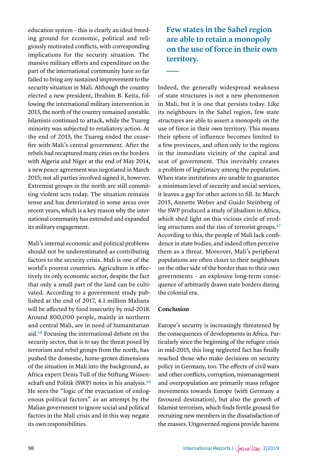education system – this is clearly an ideal breeding ground for economic, political and religiously motivated conflicts, with corresponding implications for the security situation. The massive military efforts and expenditure on the part of the international community have so far failed to bring any sustained improvement to the security situation in Mali. Although the country elected a new president, Ibrahim B. Keita, following the international military intervention in 2013, the north of the country remained unstable. Islamists continued to attack, while the Tuareg minority was subjected to retaliatory action. At the end of 2013, the Tuareg ended the ceasefire with Mali's central government. After the rebels had recaptured many cities on the borders with Algeria and Niger at the end of May 2014, a new peace agreement was negotiated in March 2015; not all parties involved signed it, however. Extremist groups in the north are still committing violent acts today. The situation remains tense and has deteriorated in some areas over recent years, which is a key reason why the international community has extended and expanded its military engagement.

Mali's internal economic and political problems should not be underestimated as contributing factors to the security crisis. Mali is one of the world's poorest countries. Agriculture is effectively its only economic sector, despite the fact that only a small part of the land can be cultivated. According to a government study published at the end of 2017, 4.1 million Malians will be affected by food insecurity by mid-2018. Around 800,000 people, mainly in northern and central Mali, are in need of humanitarian aid.[15](#page-9-14) Focusing the international debate on the security sector, that is to say the threat posed by terrorism and rebel groups from the north, has pushed the domestic, home-grown dimensions of the situation in Mali into the background, as Africa expert Denis Tull of the Stiftung Wissenschaft und Politik (SWP) notes in his analysis[.16](#page-9-15) He sees the "logic of the evacuation of endogenous political factors" as an attempt by the Malian government to ignore social and political factors in the Mali crisis and in this way negate its own responsibilities.

**Few states in the Sahel region are able to retain a monopoly on the use of force in their own territory.**

Indeed, the generally widespread weakness of state structures is not a new phenomenon in Mali, but it is one that persists today. Like its neighbours in the Sahel region, few state structures are able to assert a monopoly on the use of force in their own territory. This means their sphere of influence becomes limited to a few provinces, and often only to the regions in the immediate vicinity of the capital and seat of government. This inevitably creates a problem of legitimacy among the population. When state institutions are unable to guarantee a minimum level of security and social services, it leaves a gap for other actors to fill. In March 2015, Annette Weber and Guido Steinberg of the SWP produced a study of jihadism in Africa, which shed light on this vicious circle of eroding structures and the rise of terrorist groups.[17](#page-9-16) According to this, the people of Mali lack confidence in state bodies, and indeed often perceive them as a threat. Moreover, Mali's peripheral populations are often closer to their neighbours on the other side of the border than to their own governments – an explosive long-term consequence of arbitrarily drawn state borders during the colonial era.

### **Conclusion**

Europe's security is increasingly threatened by the consequences of developments in Africa. Particularly since the beginning of the refugee crisis in mid-2015, this long neglected fact has finally reached those who make decisions on security policy in Germany, too. The effects of civil wars and other conflicts, corruption, mismanagement and overpopulation are primarily mass refugee movements towards Europe (with Germany a favoured destination), but also the growth of Islamist terrorism, which finds fertile ground for recruiting new members in the dissatisfaction of the masses. Ungoverned regions provide havens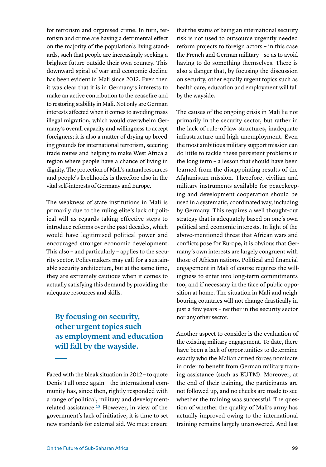for terrorism and organised crime. In turn, terrorism and crime are having a detrimental effect on the majority of the population's living standards, such that people are increasingly seeking a brighter future outside their own country. This downward spiral of war and economic decline has been evident in Mali since 2012. Even then it was clear that it is in Germany's interests to make an active contribution to the ceasefire and to restoring stability in Mali. Not only are German interests affected when it comes to avoiding mass illegal migration, which would overwhelm Germany's overall capacity and willingness to accept foreigners; it is also a matter of drying up breeding grounds for international terrorism, securing trade routes and helping to make West Africa a region where people have a chance of living in dignity. The protection of Mali's natural resources and people's livelihoods is therefore also in the vital self-interests of Germany and Europe.

The weakness of state institutions in Mali is primarily due to the ruling elite's lack of political will as regards taking effective steps to introduce reforms over the past decades, which would have legitimised political power and encouraged stronger economic development. This also – and particularly – applies to the security sector. Policymakers may call for a sustainable security architecture, but at the same time, they are extremely cautious when it comes to actually satisfying this demand by providing the adequate resources and skills.

## **By focusing on security, other urgent topics such as employment and education will fall by the wayside.**

Faced with the bleak situation in 2012 – to quote Denis Tull once again – the international community has, since then, rightly responded with a range of political, military and developmentrelated assistance.[18](#page-9-17) However, in view of the government's lack of initiative, it is time to set new standards for external aid. We must ensure

that the status of being an international security risk is not used to outsource urgently needed reform projects to foreign actors – in this case the French and German military – so as to avoid having to do something themselves. There is also a danger that, by focusing the discussion on security, other equally urgent topics such as health care, education and employment will fall by the wayside.

The causes of the ongoing crisis in Mali lie not primarily in the security sector, but rather in the lack of rule-of-law structures, inadequate infrastructure and high unemployment. Even the most ambitious military support mission can do little to tackle these persistent problems in the long term – a lesson that should have been learned from the disappointing results of the Afghanistan mission. Therefore, civilian and military instruments available for peacekeeping and development cooperation should be used in a systematic, coordinated way, including by Germany. This requires a well thought-out strategy that is adequately based on one's own political and economic interests. In light of the above-mentioned threat that African wars and conflicts pose for Europe, it is obvious that Germany's own interests are largely congruent with those of African nations. Political and financial engagement in Mali of course requires the willingness to enter into long-term commitments too, and if necessary in the face of public opposition at home. The situation in Mali and neighbouring countries will not change drastically in just a few years – neither in the security sector nor any other sector.

Another aspect to consider is the evaluation of the existing military engagement. To date, there have been a lack of opportunities to determine exactly who the Malian armed forces nominate in order to benefit from German military training assistance (such as EUTM). Moreover, at the end of their training, the participants are not followed up, and no checks are made to see whether the training was successful. The question of whether the quality of Mali's army has actually improved owing to the international training remains largely unanswered. And last